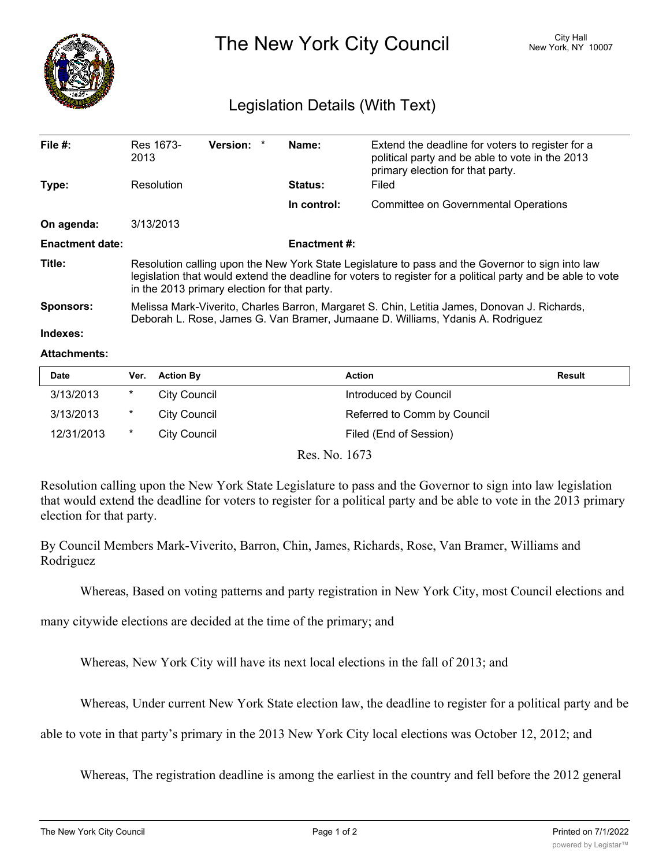

The New York City Council New York, NY 10007

## Legislation Details (With Text)

| File $#$ :             | Res 1673-<br>2013                                                                                                                                                                                                                                               | Version: * |  | Name:       | Extend the deadline for voters to register for a<br>political party and be able to vote in the 2013<br>primary election for that party. |  |  |
|------------------------|-----------------------------------------------------------------------------------------------------------------------------------------------------------------------------------------------------------------------------------------------------------------|------------|--|-------------|-----------------------------------------------------------------------------------------------------------------------------------------|--|--|
| Type:                  | Resolution                                                                                                                                                                                                                                                      |            |  | Status:     | Filed                                                                                                                                   |  |  |
|                        |                                                                                                                                                                                                                                                                 |            |  | In control: | <b>Committee on Governmental Operations</b>                                                                                             |  |  |
| On agenda:             | 3/13/2013                                                                                                                                                                                                                                                       |            |  |             |                                                                                                                                         |  |  |
| <b>Enactment date:</b> | <b>Enactment #:</b>                                                                                                                                                                                                                                             |            |  |             |                                                                                                                                         |  |  |
| Title:                 | Resolution calling upon the New York State Legislature to pass and the Governor to sign into law<br>legislation that would extend the deadline for voters to register for a political party and be able to vote<br>in the 2013 primary election for that party. |            |  |             |                                                                                                                                         |  |  |
| <b>Sponsors:</b>       | Melissa Mark-Viverito, Charles Barron, Margaret S. Chin, Letitia James, Donovan J. Richards,<br>Deborah L. Rose, James G. Van Bramer, Jumaane D. Williams, Ydanis A. Rodriguez                                                                                  |            |  |             |                                                                                                                                         |  |  |
| Indexes:               |                                                                                                                                                                                                                                                                 |            |  |             |                                                                                                                                         |  |  |

## **Attachments:**

| <b>Date</b> | Ver.   | <b>Action By</b> | <b>Action</b>               | <b>Result</b> |
|-------------|--------|------------------|-----------------------------|---------------|
| 3/13/2013   | $\ast$ | City Council     | Introduced by Council       |               |
| 3/13/2013   | $\ast$ | City Council     | Referred to Comm by Council |               |
| 12/31/2013  | $\ast$ | City Council     | Filed (End of Session)      |               |

Res. No. 1673

Resolution calling upon the New York State Legislature to pass and the Governor to sign into law legislation that would extend the deadline for voters to register for a political party and be able to vote in the 2013 primary election for that party.

By Council Members Mark-Viverito, Barron, Chin, James, Richards, Rose, Van Bramer, Williams and Rodriguez

Whereas, Based on voting patterns and party registration in New York City, most Council elections and

many citywide elections are decided at the time of the primary; and

Whereas, New York City will have its next local elections in the fall of 2013; and

Whereas, Under current New York State election law, the deadline to register for a political party and be

able to vote in that party's primary in the 2013 New York City local elections was October 12, 2012; and

Whereas, The registration deadline is among the earliest in the country and fell before the 2012 general